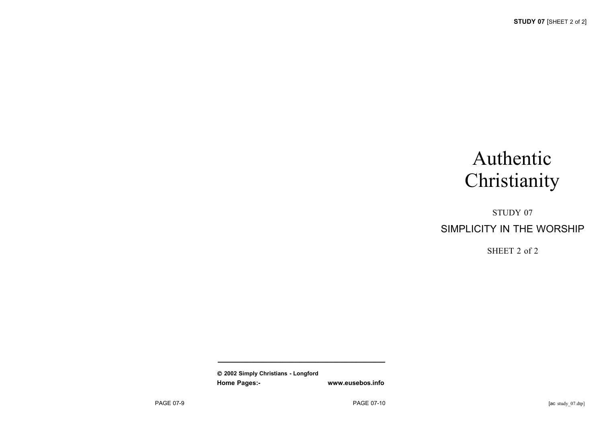# Authentic **Christianity**

## STUDY 07 SIMPLICITY IN THE WORSHIP

SHEET 2 of 2

 **2002 Simply Christians - Longford Home Pages:- www.eusebos.info**

**\_\_\_\_\_\_\_\_\_\_\_\_\_\_\_\_\_\_\_\_\_\_\_\_\_\_\_\_\_\_\_\_\_\_\_**